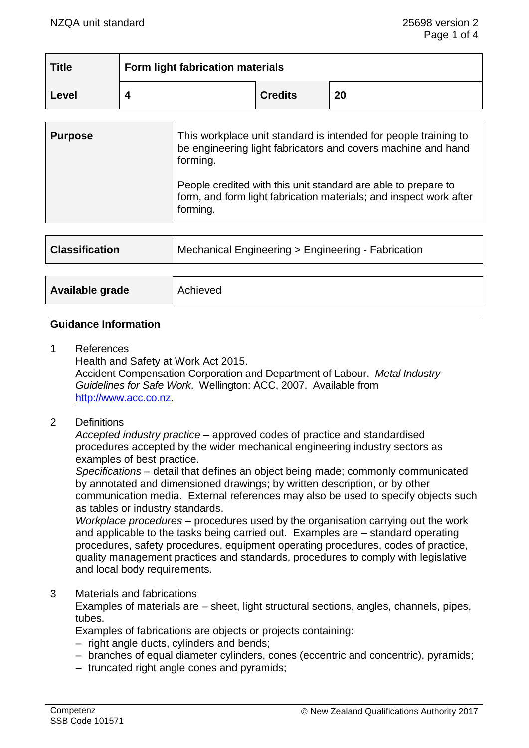| <b>Title</b> | Form light fabrication materials |                |    |
|--------------|----------------------------------|----------------|----|
| Level        |                                  | <b>Credits</b> | 20 |

| <b>Purpose</b> | This workplace unit standard is intended for people training to<br>be engineering light fabricators and covers machine and hand<br>forming.      |
|----------------|--------------------------------------------------------------------------------------------------------------------------------------------------|
|                | People credited with this unit standard are able to prepare to<br>form, and form light fabrication materials; and inspect work after<br>forming. |

| <b>Classification</b> | Mechanical Engineering > Engineering - Fabrication |  |
|-----------------------|----------------------------------------------------|--|
|                       |                                                    |  |
| Available grade       | Achieved                                           |  |

# **Guidance Information**

- 1 References Health and Safety at Work Act 2015. Accident Compensation Corporation and Department of Labour. *Metal Industry Guidelines for Safe Work*. Wellington: ACC, 2007. Available from [http://www.acc.co.nz.](http://www.acc.co.nz/)
- 2 Definitions

*Accepted industry practice –* approved codes of practice and standardised procedures accepted by the wider mechanical engineering industry sectors as examples of best practice.

*Specifications –* detail that defines an object being made; commonly communicated by annotated and dimensioned drawings; by written description, or by other communication media. External references may also be used to specify objects such as tables or industry standards.

*Workplace procedures –* procedures used by the organisation carrying out the work and applicable to the tasks being carried out. Examples are – standard operating procedures, safety procedures, equipment operating procedures, codes of practice, quality management practices and standards, procedures to comply with legislative and local body requirements*.*

3 Materials and fabrications

Examples of materials are – sheet, light structural sections, angles, channels, pipes, tubes.

Examples of fabrications are objects or projects containing:

- right angle ducts, cylinders and bends;
- branches of equal diameter cylinders, cones (eccentric and concentric), pyramids;
- truncated right angle cones and pyramids;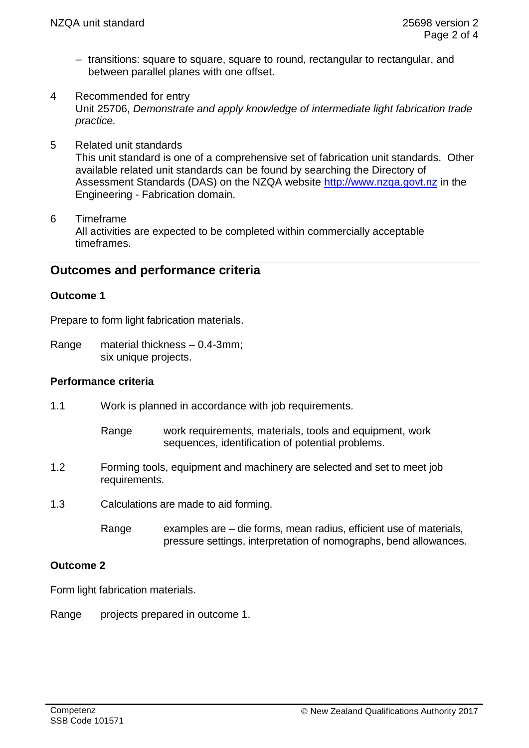- transitions: square to square, square to round, rectangular to rectangular, and between parallel planes with one offset.
- 4 Recommended for entry Unit 25706, *Demonstrate and apply knowledge of intermediate light fabrication trade practice.*
- 5 Related unit standards This unit standard is one of a comprehensive set of fabrication unit standards. Other available related unit standards can be found by searching the Directory of Assessment Standards (DAS) on the NZQA website [http://www.nzqa.govt.nz](http://www.nzqa.govt.nz/) in the Engineering - Fabrication domain.
- 6 Timeframe All activities are expected to be completed within commercially acceptable timeframes.

# **Outcomes and performance criteria**

# **Outcome 1**

Prepare to form light fabrication materials.

Range material thickness – 0.4-3mm; six unique projects.

# **Performance criteria**

- 1.1 Work is planned in accordance with job requirements.
	- Range work requirements, materials, tools and equipment, work sequences, identification of potential problems.
- 1.2 Forming tools, equipment and machinery are selected and set to meet job requirements.
- 1.3 Calculations are made to aid forming.
	- Range examples are  $-$  die forms, mean radius, efficient use of materials, pressure settings, interpretation of nomographs, bend allowances.

# **Outcome 2**

Form light fabrication materials.

Range projects prepared in outcome 1.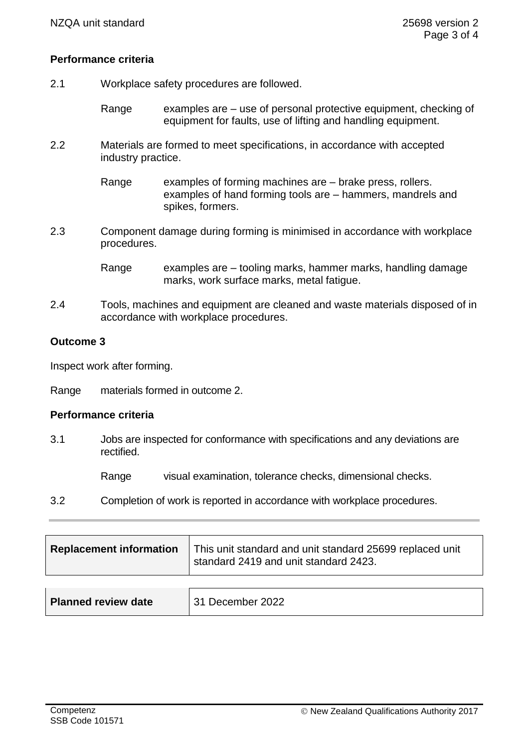# **Performance criteria**

- 2.1 Workplace safety procedures are followed.
	- Range examples are  $-$  use of personal protective equipment, checking of equipment for faults, use of lifting and handling equipment.
- 2.2 Materials are formed to meet specifications, in accordance with accepted industry practice.

Range examples of forming machines are – brake press, rollers. examples of hand forming tools are – hammers, mandrels and spikes, formers.

- 2.3 Component damage during forming is minimised in accordance with workplace procedures.
	- Range examples are tooling marks, hammer marks, handling damage marks, work surface marks, metal fatigue.
- 2.4 Tools, machines and equipment are cleaned and waste materials disposed of in accordance with workplace procedures.

# **Outcome 3**

Inspect work after forming.

Range materials formed in outcome 2.

# **Performance criteria**

3.1 Jobs are inspected for conformance with specifications and any deviations are rectified.

Range visual examination, tolerance checks, dimensional checks.

3.2 Completion of work is reported in accordance with workplace procedures.

| <b>Replacement information</b> | This unit standard and unit standard 25699 replaced unit<br>standard 2419 and unit standard 2423. |
|--------------------------------|---------------------------------------------------------------------------------------------------|
|                                |                                                                                                   |

| <b>Planned review date</b> | 31 December 2022 |
|----------------------------|------------------|
|                            |                  |